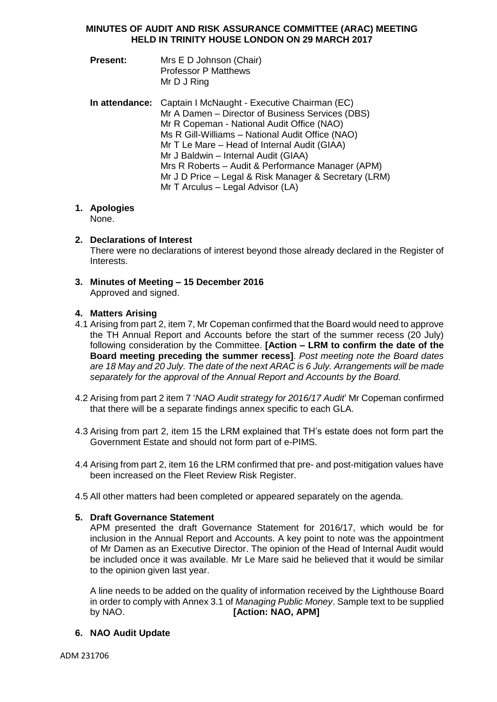# **MINUTES OF AUDIT AND RISK ASSURANCE COMMITTEE (ARAC) MEETING HELD IN TRINITY HOUSE LONDON ON 29 MARCH 2017**

- **Present:** Mrs E D Johnson (Chair) Professor P Matthews Mr D J Ring
- **In attendance:** Captain I McNaught Executive Chairman (EC) Mr A Damen – Director of Business Services (DBS) Mr R Copeman - National Audit Office (NAO) Ms R Gill-Williams – National Audit Office (NAO) Mr T Le Mare – Head of Internal Audit (GIAA) Mr J Baldwin – Internal Audit (GIAA) Mrs R Roberts – Audit & Performance Manager (APM) Mr J D Price – Legal & Risk Manager & Secretary (LRM) Mr T Arculus – Legal Advisor (LA)

# **1. Apologies**

None.

# **2. Declarations of Interest**

There were no declarations of interest beyond those already declared in the Register of Interests.

**3. Minutes of Meeting – 15 December 2016** Approved and signed.

# **4. Matters Arising**

- 4.1 Arising from part 2, item 7, Mr Copeman confirmed that the Board would need to approve the TH Annual Report and Accounts before the start of the summer recess (20 July) following consideration by the Committee. **[Action – LRM to confirm the date of the Board meeting preceding the summer recess]**. *Post meeting note the Board dates are 18 May and 20 July. The date of the next ARAC is 6 July. Arrangements will be made separately for the approval of the Annual Report and Accounts by the Board.*
- 4.2 Arising from part 2 item 7 '*NAO Audit strategy for 2016/17 Audit*' Mr Copeman confirmed that there will be a separate findings annex specific to each GLA.
- 4.3 Arising from part 2, item 15 the LRM explained that TH's estate does not form part the Government Estate and should not form part of e-PIMS.
- 4.4 Arising from part 2, item 16 the LRM confirmed that pre- and post-mitigation values have been increased on the Fleet Review Risk Register.
- 4.5 All other matters had been completed or appeared separately on the agenda.

# **5. Draft Governance Statement**

APM presented the draft Governance Statement for 2016/17, which would be for inclusion in the Annual Report and Accounts. A key point to note was the appointment of Mr Damen as an Executive Director. The opinion of the Head of Internal Audit would be included once it was available. Mr Le Mare said he believed that it would be similar to the opinion given last year.

A line needs to be added on the quality of information received by the Lighthouse Board in order to comply with Annex 3.1 of *Managing Public Money*. Sample text to be supplied by NAO. **[Action: NAO, APM]**

# **6. NAO Audit Update**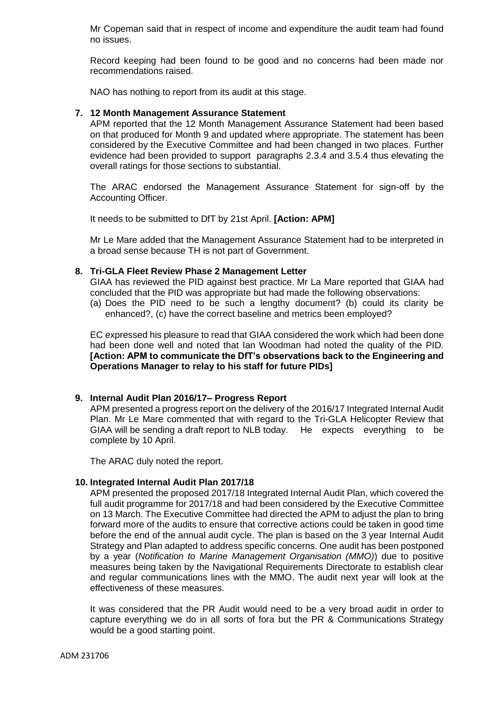Mr Copeman said that in respect of income and expenditure the audit team had found no issues.

Record keeping had been found to be good and no concerns had been made nor recommendations raised.

NAO has nothing to report from its audit at this stage.

#### **7. 12 Month Management Assurance Statement**

APM reported that the 12 Month Management Assurance Statement had been based on that produced for Month 9 and updated where appropriate. The statement has been considered by the Executive Committee and had been changed in two places. Further evidence had been provided to support paragraphs 2.3.4 and 3.5.4 thus elevating the overall ratings for those sections to substantial.

The ARAC endorsed the Management Assurance Statement for sign-off by the Accounting Officer.

It needs to be submitted to DfT by 21st April. **[Action: APM]**

Mr Le Mare added that the Management Assurance Statement had to be interpreted in a broad sense because TH is not part of Government.

# **8. Tri-GLA Fleet Review Phase 2 Management Letter**

GIAA has reviewed the PID against best practice. Mr La Mare reported that GIAA had concluded that the PID was appropriate but had made the following observations:

(a) Does the PID need to be such a lengthy document? (b) could its clarity be enhanced?, (c) have the correct baseline and metrics been employed?

EC expressed his pleasure to read that GIAA considered the work which had been done had been done well and noted that Ian Woodman had noted the quality of the PID. **[Action: APM to communicate the DfT's observations back to the Engineering and Operations Manager to relay to his staff for future PIDs]**

# **9. Internal Audit Plan 2016/17– Progress Report**

APM presented a progress report on the delivery of the 2016/17 Integrated Internal Audit Plan. Mr Le Mare commented that with regard to the Tri-GLA Helicopter Review that GIAA will be sending a draft report to NLB today. He expects everything to be complete by 10 April.

The ARAC duly noted the report.

#### **10. Integrated Internal Audit Plan 2017/18**

APM presented the proposed 2017/18 Integrated Internal Audit Plan, which covered the full audit programme for 2017/18 and had been considered by the Executive Committee on 13 March. The Executive Committee had directed the APM to adjust the plan to bring forward more of the audits to ensure that corrective actions could be taken in good time before the end of the annual audit cycle. The plan is based on the 3 year Internal Audit Strategy and Plan adapted to address specific concerns. One audit has been postponed by a year (*Notification to Marine Management Organisation (MMO)*) due to positive measures being taken by the Navigational Requirements Directorate to establish clear and regular communications lines with the MMO. The audit next year will look at the effectiveness of these measures.

It was considered that the PR Audit would need to be a very broad audit in order to capture everything we do in all sorts of fora but the PR & Communications Strategy would be a good starting point.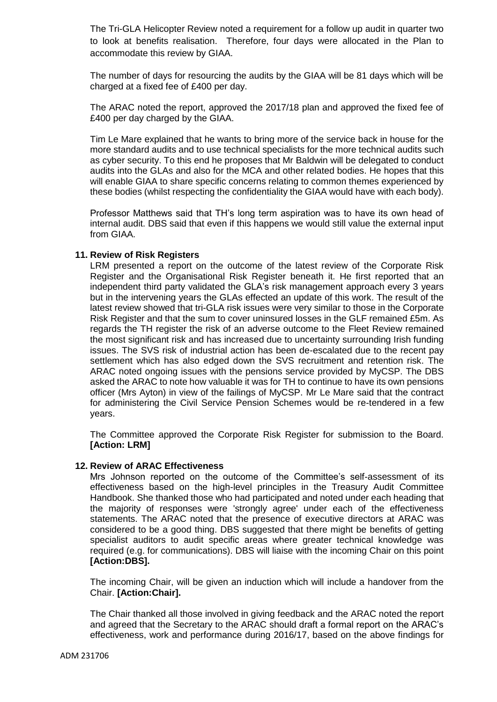The Tri-GLA Helicopter Review noted a requirement for a follow up audit in quarter two to look at benefits realisation. Therefore, four days were allocated in the Plan to accommodate this review by GIAA.

The number of days for resourcing the audits by the GIAA will be 81 days which will be charged at a fixed fee of £400 per day.

The ARAC noted the report, approved the 2017/18 plan and approved the fixed fee of £400 per day charged by the GIAA.

Tim Le Mare explained that he wants to bring more of the service back in house for the more standard audits and to use technical specialists for the more technical audits such as cyber security. To this end he proposes that Mr Baldwin will be delegated to conduct audits into the GLAs and also for the MCA and other related bodies. He hopes that this will enable GIAA to share specific concerns relating to common themes experienced by these bodies (whilst respecting the confidentiality the GIAA would have with each body).

Professor Matthews said that TH's long term aspiration was to have its own head of internal audit. DBS said that even if this happens we would still value the external input from GIAA.

# **11. Review of Risk Registers**

LRM presented a report on the outcome of the latest review of the Corporate Risk Register and the Organisational Risk Register beneath it. He first reported that an independent third party validated the GLA's risk management approach every 3 years but in the intervening years the GLAs effected an update of this work. The result of the latest review showed that tri-GLA risk issues were very similar to those in the Corporate Risk Register and that the sum to cover uninsured losses in the GLF remained £5m. As regards the TH register the risk of an adverse outcome to the Fleet Review remained the most significant risk and has increased due to uncertainty surrounding Irish funding issues. The SVS risk of industrial action has been de-escalated due to the recent pay settlement which has also edged down the SVS recruitment and retention risk. The ARAC noted ongoing issues with the pensions service provided by MyCSP. The DBS asked the ARAC to note how valuable it was for TH to continue to have its own pensions officer (Mrs Ayton) in view of the failings of MyCSP. Mr Le Mare said that the contract for administering the Civil Service Pension Schemes would be re-tendered in a few years.

The Committee approved the Corporate Risk Register for submission to the Board. **[Action: LRM]**

#### **12. Review of ARAC Effectiveness**

Mrs Johnson reported on the outcome of the Committee's self-assessment of its effectiveness based on the high-level principles in the Treasury Audit Committee Handbook. She thanked those who had participated and noted under each heading that the majority of responses were 'strongly agree' under each of the effectiveness statements. The ARAC noted that the presence of executive directors at ARAC was considered to be a good thing. DBS suggested that there might be benefits of getting specialist auditors to audit specific areas where greater technical knowledge was required (e.g. for communications). DBS will liaise with the incoming Chair on this point **[Action:DBS].**

The incoming Chair, will be given an induction which will include a handover from the Chair. **[Action:Chair].**

The Chair thanked all those involved in giving feedback and the ARAC noted the report and agreed that the Secretary to the ARAC should draft a formal report on the ARAC's effectiveness, work and performance during 2016/17, based on the above findings for